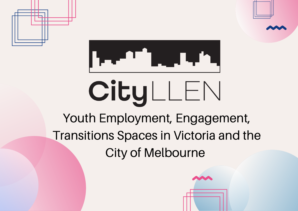



## CityLLEN

Youth Employment, Engagement, Transitions Spaces in Victoria and the City of Melbourne

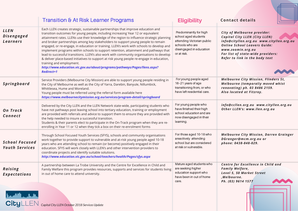|                                                | <b>Transition &amp; At Risk Learner Programs</b>                                                                                                                                                                                                                                                                                                                                                                                                                                                                                                                                                                                                                                                                                                                                                                                                                 | <b>Eligibility</b>                                                                                                                        | <b>Contact details</b>                                                                                                                                                                                                                      |
|------------------------------------------------|------------------------------------------------------------------------------------------------------------------------------------------------------------------------------------------------------------------------------------------------------------------------------------------------------------------------------------------------------------------------------------------------------------------------------------------------------------------------------------------------------------------------------------------------------------------------------------------------------------------------------------------------------------------------------------------------------------------------------------------------------------------------------------------------------------------------------------------------------------------|-------------------------------------------------------------------------------------------------------------------------------------------|---------------------------------------------------------------------------------------------------------------------------------------------------------------------------------------------------------------------------------------------|
| <b>LLEN</b><br><b>Disengaged</b><br>Learners   | Each LLEN creates strategic, sustainable partnerships that improve education and<br>transition outcomes for young people, including increasing Year 12 or equivalent<br>attainment rates. LLENs use their knowledge of the region to influence strategic planning<br>and broker partnerships among key stakeholders to support young people to remain<br>engaged, or re-engage, in education or training. LLEN's work with schools to develop and<br>implement programs within schools to support retention, attainment and pathways that<br>lead to successful transitions. LLEN's also work with community organisations to develop<br>& deliver place-based initiatives to support at risk young people re-engage in education,<br>training and employment.<br>http://www.education.vic.gov.au/about/programs/pathways/Pages/llens.aspx?<br><b>Redirect=1</b> | Predominantly for high<br>school aged students<br>attending Victorian public<br>schools who are<br>disengaged in education<br>or at risk. | City of Melbourne provider:<br>Capital City LLEN (City LLEN)<br>info@cityllen.org.au www.cityllen.org.au<br><b>Online School Leavers Guide:</b><br>www.zoomin.org.au<br>For list of state-wide providers:<br>Refer to link in the body text |
| Springboard                                    | Service Providers (Melbourne City Mission) are able to support young people residing in<br>the City of Melbourne as well as the City of Yarra, Darebin, Banyule, Nillumbick,<br>Whittlesea, Hume and Moreland.<br>Young people must be referred using the referral form available here<br>https://www.melbournecitymission.org.au/services/program-detail/springboard                                                                                                                                                                                                                                                                                                                                                                                                                                                                                            | For young people aged<br>16-21 years of age<br>transitioning from, or who<br>have left residential care.                                  | <b>Melbourne City Mission, Flinders St,</b><br>Melbourne (temporaliy moved whist<br>renovating) ph. 03 8486 2159.<br>Also located at Fitzroy.                                                                                               |
| <b>On Track</b><br><b>Connect</b>              | Delivered by the City LLEN and the LLEN Network state-wide, participating students who<br>have not pathways post leaving school into tertiary education, training or employment<br>are provided with referrals and advice to support them to ensure they are provided with<br>the help needed to insure a successful transition.<br>Students & their parents elect to participate in the On-Track program when they are re-<br>enrolling in Year 11 or 12 when they tick a box on their re-enrolment forms                                                                                                                                                                                                                                                                                                                                                       | For young people who<br>have finished their high<br>school education and are<br>now disengaged in their<br>learning.                      | info@ccllen.org.au www.cityllen.org.au<br>Other LLEN's: www.llen.org.au                                                                                                                                                                     |
| <b>School Focused</b><br><b>Youth Services</b> | Through School Focused Youth Services (SFYS), schools and community organisations<br>work together to provide support to vulnerable and at-risk young people aged 10-18<br>years who are attending school to remain (or become) positively engaged in their<br>education. SFYS will work closely with LLEN's and other intervention providers to<br>coordinate projects and identify suitable solutions.<br>http://www.education.vic.gov.au/school/teachers/health/Pages/sfys.aspx                                                                                                                                                                                                                                                                                                                                                                               | For those aged 10-18 who<br>areactively attending<br>school but are considered<br>at risk or vulnerable.                                  | <b>Melbourne City Mission, Darren Grainger</b><br>DGranger@mcm.org.au or<br>phone: 0438-848-029.                                                                                                                                            |
| Raising<br><b>Expectations</b>                 | A partnership between La Trobe University and the Centre for Excellence in Child and<br>Family Welfare this program provides resources, supports and services for students living<br>in out of home care to attend university.                                                                                                                                                                                                                                                                                                                                                                                                                                                                                                                                                                                                                                   | Mature aged students who<br>are seeking higher<br>education support who<br>have been in out of home<br>care.                              | Centre for Excellence in Child and<br><b>Family Welfare,</b><br>Level 5, 50 Market Street<br>, Melbourne.<br>Ph. (03) 9614 1577                                                                                                             |
| للفيقان التقميل                                | CityLLEN Capital City LLEN October 2018 Services Update                                                                                                                                                                                                                                                                                                                                                                                                                                                                                                                                                                                                                                                                                                                                                                                                          |                                                                                                                                           |                                                                                                                                                                                                                                             |

1 I J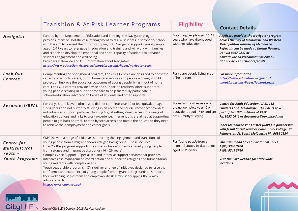|                                                                                                                   | <b>Transition &amp; At Risk Learner Programs</b>                                                                                                                                                                                                                                                                                                                                                                                                                                                                                                                                                                                                                                                                                                                                                                              | <b>Eligibility</b>                                                                                                       | <b>Contact Details</b>                                                                                                                                                                                                                                                                                                                        |
|-------------------------------------------------------------------------------------------------------------------|-------------------------------------------------------------------------------------------------------------------------------------------------------------------------------------------------------------------------------------------------------------------------------------------------------------------------------------------------------------------------------------------------------------------------------------------------------------------------------------------------------------------------------------------------------------------------------------------------------------------------------------------------------------------------------------------------------------------------------------------------------------------------------------------------------------------------------|--------------------------------------------------------------------------------------------------------------------------|-----------------------------------------------------------------------------------------------------------------------------------------------------------------------------------------------------------------------------------------------------------------------------------------------------------------------------------------------|
| <b>Navigator</b>                                                                                                  | Funded by the Department of Education and Training, the Navigator program<br>provides intensive, holistic case management to at risk students in secondary school<br>with the aim to prevent them from dropping out. Navigator supports young people<br>aged 12-17 years to re-engage in education and training and will work with families<br>and schools to develop the emotional and social capacity of students to enhance<br>students engagement and well-being.<br>Providers state-wide and DET information about Navigator:<br>https://www.education.vic.gov.au/about/programs/Pages/navigator.aspx                                                                                                                                                                                                                    | For young people aged 12-17<br>years who have disengaged<br>with their education.                                        | <b>Anglicare provides the Navigator program</b><br>across the City of Melbourne and Western<br><b>Metropolitan suburbs of Melbourne.</b><br>Referrals can be made to Karina Howard,<br>DET via 8397 0237 or<br>howard.karina.k@edumail.vic.edu.au<br>DET pre-screen school referrals                                                          |
| Look Out<br><b>Centres</b>                                                                                        | Complimenting the Springboard program, Look Out Centres are designed to boost the<br>capacity of schools, carers, out of home care services and people working in child<br>protection improve the education outcomes of young people living in out of home<br>care. Look Out centres provide advice and support to teachers, direct support to<br>young people residing in out-of-home care to help them fully participate in<br>schools/education, advocacy on behalf of students and other supports.                                                                                                                                                                                                                                                                                                                        | For young people living in out<br>pf home care.                                                                          | <b>For more information:</b><br>https://www.education.vic.gov.au/<br>about/programs/Pages/lookout.aspx                                                                                                                                                                                                                                        |
| Reconnect/REAL                                                                                                    | For early school leavers (those who did not complete Year 12 or its equivalent) aged<br>17-64 years and not currently studying in an accredited course, reconnect provides:<br>individualised support, pathway planning & goal setting, direct access to a range of<br>education options and links to work experience. Interventions are aimed at supporting<br>people to get back on track, to step by step access and obtain the education they need<br>to achieve their employment and career goals.                                                                                                                                                                                                                                                                                                                       | For early school leavers who<br>did not complete year 12 or<br>equivalent. aged 17-64 and are<br>not currently studying. | <b>Centre for Adult Education (CAE), 253</b><br>Flinders Lane, Melbourne. The CAE is now<br>part of Box Hill Institute of TAFE.<br>Ph. 9652 0611 or Reconnect@boxhill.edu.au<br><b>Inner Melbourne VET Cluster (IMVC) in partnership</b><br>with Jesuit Social Services Community College, 71<br>Palmerston St, South Melbourne Ph. 9686 2354 |
| <b>Centre for</b><br><b>Multicultural</b><br>Youth $-$<br><b>Youth Programs</b><br><b>Local Links</b><br>CityLLEN | CMY Delivers a range of initiatives supporting the engagement and transitions of<br>young people from a migrant and/or refugee background. These include:<br>UCan2 - this program supports the social inclusion of newly arrived young people<br>from refugee and migrant backgrounds (16 - 26 years)<br>Complex Case Support - Specialised and intensive support services that provides<br>intensive case management, coordination and support to refugees and humanitarian<br>young migrants with complex needs.<br>Youth Leadership programs - CMY deliver a range of initiatives designed to raise the<br>confidence and experience of young people from migrant backgrounds to support<br>their wellbeing, self-esteem and employability skills whilst equipping them with<br>advocacy skills.<br>http://www.cmy.net.au/ | For Young people from a<br>migrant/refugee backgrounds<br>aged 16-26 years.                                              | 304 Drummond Street, Carlton VIC 3053<br>T (03) 9340 3700<br>F (03) 9349 3766<br>Visit the CMY website for state-wide<br><b>locations</b>                                                                                                                                                                                                     |
|                                                                                                                   | Capital City LLEN October 2018 Services Update                                                                                                                                                                                                                                                                                                                                                                                                                                                                                                                                                                                                                                                                                                                                                                                |                                                                                                                          |                                                                                                                                                                                                                                                                                                                                               |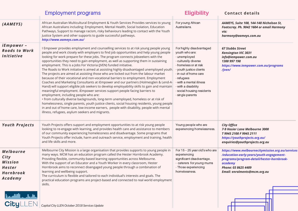|                                                                                     | <b>Employment programs</b>                                                                                                                                                                                                                                                                                                                                                                                                                                                                                                                                                                                                                                                                                                                                                                                                                                                                                                                                                                                                                                                                                                                                                                                                                                                                                                                                   | <b>Eligibility</b>                                                                                                                                                                                                                                                                | <b>Contact details</b>                                                                                                                                                                                      |
|-------------------------------------------------------------------------------------|--------------------------------------------------------------------------------------------------------------------------------------------------------------------------------------------------------------------------------------------------------------------------------------------------------------------------------------------------------------------------------------------------------------------------------------------------------------------------------------------------------------------------------------------------------------------------------------------------------------------------------------------------------------------------------------------------------------------------------------------------------------------------------------------------------------------------------------------------------------------------------------------------------------------------------------------------------------------------------------------------------------------------------------------------------------------------------------------------------------------------------------------------------------------------------------------------------------------------------------------------------------------------------------------------------------------------------------------------------------|-----------------------------------------------------------------------------------------------------------------------------------------------------------------------------------------------------------------------------------------------------------------------------------|-------------------------------------------------------------------------------------------------------------------------------------------------------------------------------------------------------------|
| (AAMEYS)                                                                            | African Australian Multicultural Employment & Youth Services Provides services to young<br>African Australians including: Employment, Mental Health, Social Isolation, Education<br>Pathways, Support to manage racism, risky behaviours leading to contact with the Youth<br>Justice System and other supports to guide successful pathways.<br>http://www.aameys.com.au/                                                                                                                                                                                                                                                                                                                                                                                                                                                                                                                                                                                                                                                                                                                                                                                                                                                                                                                                                                                   | For young African<br>Australians.                                                                                                                                                                                                                                                 | AAMEYS, Suite 108, 144-148 Nicholson St,<br>Footscray. Ph. 9042 1604 or email Harmony<br>via:<br>harmony@aameys.com.au                                                                                      |
| iEmpower -<br><b>Roads to Work</b><br><b>Initiative</b>                             | I Empower provides employment and counselling services to at risk young people young<br>people and work closely with employers to find job opportunities and help young people<br>looking for work prepare for these jobs. The program connects jobseekers with the<br>opportunities they need to gain employment, as well as supporting them in sustaining<br>employment. This is a Jobs For Victoria (JVEN) funded initiative.<br>The Roads to Work initiative is aimed at assisting highly disadvantaged unemployed youth.<br>The projects are aimed at assisting those who are locked out from the labour market<br>because of their vocational and non-vocational barriers to employment. Employment<br>Coaches and Marketing Consultants at iEmpower and our partners (Holmesglen & Lend-A-<br>Hand) will support eligible job seekers to develop employability skills to gain and maintain<br>meaningful employment. iEmpower services support people facing barriers to<br>employment, including people who are:<br>• from culturally diverse backgrounds, long-term unemployed, homeless or at risk of<br>homelessness, single parents, youth justice clients, social housing residents, young people<br>in and out of home care, low-income earners, people with disability, people with mental<br>illness, refugees, asylum seekers and migrants. | For highly disadvantaged<br>youth who are:<br>- unemployed<br>- culturally diverse<br>- homeless or at risk<br>- youth justice clients<br>- in out of home care<br>- refugees<br>- with a mental illness<br>- with a disability<br>- social housing residents<br>- single parents | <b>67 Stubbs Street</b><br><b>Kensington VIC 3031</b><br>info@iempower.com.au<br>1300 997 198<br>https://www.iempower.com.au/programs<br>/jven/                                                             |
| <b>Youth Projects</b>                                                               | Youth Projects offers support and employment opportunities to at risk young people<br>looking to re-engage with learning, and provides health care and assistance to members<br>of our community experiencing homelessness and disadvantage. Some programs that<br>Youth Projects offer include, harm and outreach service, employment and training, health<br>and life skills and more.                                                                                                                                                                                                                                                                                                                                                                                                                                                                                                                                                                                                                                                                                                                                                                                                                                                                                                                                                                     | Young people who are<br>experiencing homelessness.                                                                                                                                                                                                                                | <b>City Office</b><br>7-9 Hosier Lane Melbourne 3000<br>T9945 2100 F9945 2111<br>https://youthprojects.org.au/<br>enquiries@youthprojects.org.au                                                            |
| <b>Melbourne</b><br>City<br><b>Mission</b><br><b>Hester</b><br>Hornbrook<br>Academy | Melbourne City Mission is a large organisation that provides supports to young people in<br>many ways. MCM has an education program called the Hester Hornbrook Academy.<br>Providing flexible, community-based learning opportunities across Melbourne.<br>With the support of an Educator and a Youth Worker in every classroom, Hester<br>Hornbrook aims to reconnect disengaged young people through a combination of<br>learning and wellbeing support.<br>The curriculum is flexible and tailored to each individual's interests and goals. The<br>practical education programs are project-based and connected to real world employment<br>skills.                                                                                                                                                                                                                                                                                                                                                                                                                                                                                                                                                                                                                                                                                                    | For 15 - 25 year old's who are<br>experiencing<br>significant disadvantage.<br>- caterers for young mums<br>- Those experiencing<br>homelessness.                                                                                                                                 | https://www.melbournecitymission.org.au/services<br>/education-early-years/youth-engagement-<br>programs/program-detail/hester-hornbrook-<br>academy<br>Phone: 03 8625 4489<br>Email: enrolments@mcm.org.au |

Щ

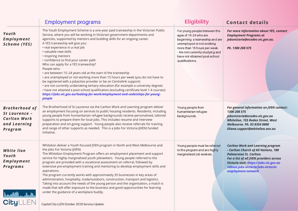|                                                                                          | <b>Employment programs</b>                                                                                                                                                                                                                                                                                                                                                                                                                                                                                                                                                                                                                                                                                                                                                                                                                                                                                                                                                       | <b>Eligibility</b>                                                                                                                                                                                                                            | <b>Contact details</b>                                                                                                                                                                                                                                                |
|------------------------------------------------------------------------------------------|----------------------------------------------------------------------------------------------------------------------------------------------------------------------------------------------------------------------------------------------------------------------------------------------------------------------------------------------------------------------------------------------------------------------------------------------------------------------------------------------------------------------------------------------------------------------------------------------------------------------------------------------------------------------------------------------------------------------------------------------------------------------------------------------------------------------------------------------------------------------------------------------------------------------------------------------------------------------------------|-----------------------------------------------------------------------------------------------------------------------------------------------------------------------------------------------------------------------------------------------|-----------------------------------------------------------------------------------------------------------------------------------------------------------------------------------------------------------------------------------------------------------------------|
| Youth<br><b>Employment</b><br>Scheme (YES)                                               | The Youth Employment Scheme is a one-year paid traineeship in the Victorian Public<br>Service, where you will be working in Victorian government departments and<br>agencies, supported by mentors and building skills for an ongoing career.<br>A YES traineeship will give you:<br>• real experience in a real job<br>• valuable new skills<br>· inspiring mentors<br>• confidence to find your career path<br>Who can apply for a YES traineeship?<br>People who:<br>• are between 15-24 years old at the start of the traineeship<br>• are unemployed or not working more than 15 hours per week (you do not have to<br>be registered with a jobactive provider or be on Centrelink support)<br>• are not currently undertaking tertiary education (for example a university degree)<br>• have not attained a post-school qualification (excluding certificate level 1-4 courses)<br>https://jobs.vic.gov.au/looking-for-work/employment-and-cadetships-for-young-<br>people | For young people between the<br>ages of 15-24 who are<br>beginning a traineeship and are<br>unemployed or not working<br>more than 15 hours per week.<br>- Are not currently studying and<br>have not obtained post school<br>qualifications. | For more information about YES, contact<br><b>Employment Programs at</b><br>jobsvictoria@ecodev.vic.gov.au.<br>Ph. 1300 208 575                                                                                                                                       |
| <b>Brotherhood of</b><br>St Laurence -<br><b>Carlton Work</b><br>and Learning<br>Program | The Brotherhood of St Laurence via the Carlton Work and Learning program deliver<br>an employment focusing on services to public housing residents. Residents, including<br>young people from humanitarian refugee backgrounds receive personalised, tailored<br>supports to prepare them for local jobs. This includes resume and interview<br>preparation and on-going support. Young people also receive referrals for training<br>and range of other supports as needed. This is a Jobs For Victoria (JVEN) funded<br>initiative.                                                                                                                                                                                                                                                                                                                                                                                                                                            | Young people from<br>humanitarian refugee<br>backgrounds.                                                                                                                                                                                     | For general information on JVEN contact:<br>1300 208 575<br>jobsvictoria@ecodev.vic.gov.au<br>Whitelion, 155 Roden Street, West<br>Melbourne. Ph. 03 8354 0800<br>Eliana.cuppari@whitelion.asn.au                                                                     |
| <b>White lion</b><br>Youth<br>Employment<br><b>Programs</b>                              | Whitelion deliver a Youth focused JVEN program in North and West Melbourne and<br>the Jobs For Victoria (JVEN)<br>The Whitelion Employment Program offers an employment placement and support<br>service for highly marginalised youth jobseekers. Young people referred to the<br>program are provided with a vocational assessment on referral, followed by<br>extensive pre-employment training and mentoring to develop employment skills and<br>aspirations.<br>The program currently works with approximately 35 businesses in key areas of<br>administration, hospitality, trade/outdoors, construction, transport and logistics.<br>Taking into account the needs of the young person and the organisation, a match is<br>made that will offer exposure to the business and good opportunities for learning<br>under the guidance of a workplace buddy.                                                                                                                  | Young people must be referred<br>to the program and are highly<br>marginalised job seekers.                                                                                                                                                   | <b>Carlton Work and Learning program</b><br>- Carlton Church of All Nations, 180<br><b>Palmerston St, Carlton.</b><br>For a list of all JVEN providers across<br>Victoria visit: https://jobs.vic.gov.au<br>/about-jobs-victoria/jobs-victoria-<br>employment-network |

*Capital City LLEN October 2018 Services Update*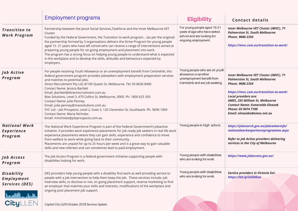|                                                                   | <b>Employment programs</b>                                                                                                                                                                                                                                                                                                                                                                                                                                                                                                                                                                                                                                                                       | <b>Eligibility</b>                                                                                                    | <b>Contact details</b>                                                                                                                                                                                                                                                                                           |
|-------------------------------------------------------------------|--------------------------------------------------------------------------------------------------------------------------------------------------------------------------------------------------------------------------------------------------------------------------------------------------------------------------------------------------------------------------------------------------------------------------------------------------------------------------------------------------------------------------------------------------------------------------------------------------------------------------------------------------------------------------------------------------|-----------------------------------------------------------------------------------------------------------------------|------------------------------------------------------------------------------------------------------------------------------------------------------------------------------------------------------------------------------------------------------------------------------------------------------------------|
| <b>Transition to</b><br><b>Work Program</b>                       | Partnership between the Jesuit Social Services, Taskforce and the Inner Melbourne VET<br>Cluster<br>Funded by the Federal Government, the Transition to work program (as per the original)<br>the partnership formed by 3 organisations delivers the Strive Program for young people<br>aged 15-21 years who have left school who can receive a range of interventions aimed at<br>preparing young people for on-going employment and placement into work.<br>The program has a strong focus on helping young people to understand what is expected<br>in the workplace and to develop the skills, attitudes and behaviours expected by<br>employers.                                            | For young people aged 15-21<br>years of age who have exited<br>school and are looking for<br>ongoing employment.      | <b>Inner Melbourne VET Cluster (IMVC), 71</b><br><b>Palmerston St, South Melbourne</b><br>Phone. 9686 2354<br>https://imvc.com.au/transition-to-work/                                                                                                                                                            |
| Job Active<br>Program                                             | For people receiving Youth Allowance or an unemployment benefit from Centrelink, this<br>federal government program provides jobseekers with employment preparation services<br>and matches to potential jobs.<br>Direct Recruitment Pty Ltd, 8/190 Queen St, Melbourne. Tel: 03 8636 8400<br>Contact Name: Jessica Bartlett<br>Email: jbartlett@directrecruitment.com.au<br>Max Solutions, Level 3, 470 Collins St, Melbourne, 3000. Ph. 1800 625 350<br>Contact Name: Julie Penney<br>Email: julie.penney@maxsolutions.com.au<br>SYC Ltd - Job Prospects, Level 2, Suite 3, 120 Clarendon St, Southbank. Ph. 9690 1969<br>Contact Name: Maria Nicholas<br>Email: mnicholas@jobprospects.com.au | Young people who are on youth<br>allowance or another<br>unemployment benefit from<br>Centrelink and are job seeking. | <b>Inner Melbourne VET Cluster (IMVC), 71</b><br><b>Palmerston St, South Melbourne</b><br>Phone. 9686 2354<br>https://imvc.com.au/transition-to-work/<br>Local providers are:<br>AMES, 255 William St, Melbourne<br><b>Contact Name: Esmeralda Elnazak</b><br>Phone: 03 9474 7100<br>Email: elnazake@ames.net.au |
| <b>National Work</b><br><b>Experience</b><br>Program              | The National Work Experience Program is part of the Federal Government's Jobactive<br>initiative. It provides work experience placements for job ready job seekers in real life work<br>experience placements where they can gain skills, experience and confidence to move<br>from welfare to work while giving back to their community.<br>Placements are unpaid for up to 25 hours per week and is a great way to gain valuable<br>skills and new referees and can sometimes lead to paid employment.                                                                                                                                                                                         | Young people in high school.                                                                                          | https://jobsearch.gov.au/jobseekerinfo/<br>nationalworkexperienceprogramme.aspx<br>Refer to Job Active providers delivering<br>services in the City of Melbourne                                                                                                                                                 |
| <b>Job Access</b><br>Program                                      | The Job Access Program is a federal government initiative supporting people with<br>disabilities looking for work.                                                                                                                                                                                                                                                                                                                                                                                                                                                                                                                                                                               | Young people with disabilities<br>who are looking for work.                                                           | https://www.jobaccess.gov.au/                                                                                                                                                                                                                                                                                    |
| Disability<br><b>Employment</b><br>Services (DES)<br>يتقطب ألقمها | DES providers help young people with a disability find work as well providing service to<br>people with a job intervention to help them keep the job. These services include: job<br>interview skills, to disclose or not, on going placement support, reverse marketing to find<br>an employer that matches your skills and interests, modifications of the workplace and<br>ongoing post placement job support.                                                                                                                                                                                                                                                                                | Young people with disabilities<br>who are looking for work.                                                           | <b>Service providers in Victoria list:</b><br>https://bit.ly/2o045ua                                                                                                                                                                                                                                             |
| <b>CityLLEN</b>                                                   | Capital City LLEN October 2018 Services Update                                                                                                                                                                                                                                                                                                                                                                                                                                                                                                                                                                                                                                                   |                                                                                                                       |                                                                                                                                                                                                                                                                                                                  |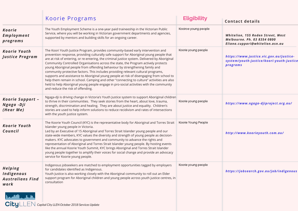|                                                                 | Koorie Programs                                                                                                                                                                                                                                                                                                                                                                                                                                                                                                                                                                                                                                                                                                                                                                                                                                                  | <b>Eligibility</b>   | <b>Contact details</b>                                                                              |
|-----------------------------------------------------------------|------------------------------------------------------------------------------------------------------------------------------------------------------------------------------------------------------------------------------------------------------------------------------------------------------------------------------------------------------------------------------------------------------------------------------------------------------------------------------------------------------------------------------------------------------------------------------------------------------------------------------------------------------------------------------------------------------------------------------------------------------------------------------------------------------------------------------------------------------------------|----------------------|-----------------------------------------------------------------------------------------------------|
| <b>Koorie</b><br><b>Employment</b><br>programs                  | The Youth Employment Scheme is a one-year paid traineeship in the Victorian Public<br>Service, where you will be working in Victorian government departments and agencies,<br>supported by mentors and building skills for an ongoing career.                                                                                                                                                                                                                                                                                                                                                                                                                                                                                                                                                                                                                    | Kooiroe young people | Whitelion, 155 Roden Street, West<br>Melbourne. Ph. 03 8354 0800<br>Eliana.cuppari@whitelion.asn.au |
| <b>Koorie Youth</b><br><b>Justice Program</b>                   | The Koori Youth Justice Program, provides community-based early intervention and<br>prevention response, providing culturally safe support for Aboriginal young people that<br>are at risk of entering, or re-entering, the criminal justice system. Delivered by Aboriginal<br>Community Controlled Organisations across the state, the Program actively protects<br>young Aboriginal people from offending behaviour by strengthening family and<br>community protective factors. This includes providing relevant cultural programs,<br>supports and assistance to Aboriginal young people at risk of disengaging from school to<br>help them remain in school. Camping and other "connecting to culture" activities are also<br>held to help Aboriginal young people engage in pro-social activities with the community<br>and reduce the risk of offending. | Koorie young people  | https://www.justice.vic.gov.au/justice-<br>system/youth-justice/koori-youth-justice<br>programs     |
| Koorie Support -<br>Ngaga - Dji<br>(Hear Me)                    | Ngaga-dji is driving change in Victoria's Youth Justice system to support Aboriginal children<br>to thrive in their communities. They seek stories from the heart, about love, trauma,<br>strength, discrimination and healing. They are about justice and equality. Children's<br>stories are used to help inform solutions to reduce recidivism and rates of intersections<br>with the youth justice system.                                                                                                                                                                                                                                                                                                                                                                                                                                                   | Koorie young people  | https://www.ngaga-djiproject.org.au/                                                                |
| <b>Koorie Youth</b><br>Council                                  | The Koorie Youth Council (KYC) is the representative body for Aboriginal and Torres Strait<br>Islander young people in Victoria.<br>Led by an Executive of 15 Aboriginal and Torres Strait Islander young people and our<br>state-wide members, KYC values the diversity and strength of young people as decision-<br>makers. KYC advocates to government and community to advance the rights and<br>representation of Aboriginal and Torres Strait Islander young people. By hosting events<br>like the annual Koorie Youth Summit, KYC brings Aboriginal and Torres Strait Islander<br>young people together to amplify their voices for social change and provide an advocacy<br>service for Koorie young people.                                                                                                                                             | Koorie Young People  | http://www.koorieyouth.com.au/                                                                      |
| <b>Helping</b><br>Indigenous<br><b>Australians Find</b><br>work | Indigenous jobseekers are matched to employment opportunities tagged by employers<br>for candidates identified as Indigenous.<br>Youth Justice is also working closely with the Aboriginal community to roll out an Elder<br>support program for Aboriginal children and young people across youth justice centres, in<br>consultation                                                                                                                                                                                                                                                                                                                                                                                                                                                                                                                           | Koorie young people  | https://jobsearch.gov.au/job/indigenous                                                             |
| بكيف بالقاممة                                                   | CityLLEN Capital City LLEN October 2018 Services Update                                                                                                                                                                                                                                                                                                                                                                                                                                                                                                                                                                                                                                                                                                                                                                                                          |                      |                                                                                                     |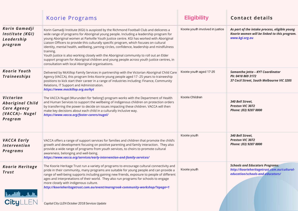|                                                                                          | Koorie Programs                                                                                                                                                                                                                                                                                                                                                                                                                                                                                                                                                                                                                                                                                                                    | <b>Eligibility</b>               | <b>Contact details</b>                                                                                                    |
|------------------------------------------------------------------------------------------|------------------------------------------------------------------------------------------------------------------------------------------------------------------------------------------------------------------------------------------------------------------------------------------------------------------------------------------------------------------------------------------------------------------------------------------------------------------------------------------------------------------------------------------------------------------------------------------------------------------------------------------------------------------------------------------------------------------------------------|----------------------------------|---------------------------------------------------------------------------------------------------------------------------|
| Korin Gamadji<br>Institute (KGI)<br>Leadership<br>program                                | Korin Gamadji Institute (KGI) is auspiced by the Richmond Football Club and deliceres a<br>wide range of programs for Aboriginal young people. Including a leadership program for<br>young Aboriginal women at Parkville Youth Justice centre. KGI has worked with Aboriginal<br>Liaison Officers to provide this culturally specific program, which focuses on cultural<br>identity, mental health, wellbeing, yarning circles, confidence, leadership and mindfulness<br>training.<br>Youth Justice is also working closely with the Aboriginal community to roll out an Elder<br>support program for Aboriginal children and young people across youth justice centres, in<br>consultation with local Aboriginal organisations. | Koorie youth involved in justice | As part of the intake process, eligible young<br>Koorie women will be linked to this program.<br>www.kgi.org.au           |
| <b>Koorie Youth</b><br><b>Traineeships</b>                                               | Delivered by McKillop Family Services in partnership with the Victorian Aboriginal Child Care<br>Agency (VACCA), this program links Koorie young people aged 17 -25 years to traineeship<br>positions to kick start their career in a range of industries including: Finance, Community<br>Relations, IT Support and Administration.<br>https://www.mackillop.org.au/kyt                                                                                                                                                                                                                                                                                                                                                           | Koorie youth aged 17-25          | Samantha Jetta - KYT Coordinator<br>Ph: 0418 869 3172<br>37 Cecil Street, South Melbourne VIC 3205                        |
| Victorian<br><b>Aboriginal Child</b><br><b>Care Agency</b><br>(VACCA) - Nugel<br>Program | The VACCA Nugel (Wurunderi for 'belong') program works with the Department of Health<br>and Human Services to support the wellbeing of indigenous children on protection orders<br>by transferring the power to decide on issues impacting these children. VACCA will then<br>make key decisions about each child in a culturally inclusive way.<br>https://www.vacca.org/foster-carers/nugel/                                                                                                                                                                                                                                                                                                                                     | Koorie Children                  | 340 Bell Street,<br><b>Preston VIC 3072</b><br>Phone: (03) 9287 8800                                                      |
| <b>VACCA Early</b><br><b>Intervention</b><br><b>Programs</b>                             | VACCA offers a range of support services for families and children that promote the child's<br>growth and development focusing on positive parenting and family interaction. They also<br>provide a wide range of programs from youth services, to choirs to promote cultural<br>awareness, belonging and well-being.<br>https://www.vacca.org/services/early-intervention-and-family-services/                                                                                                                                                                                                                                                                                                                                    | Koorie youth                     | 340 Bell Street,<br><b>Preston VIC 3072</b><br>Phone: (03) 9287 8800                                                      |
| <b>Koorie Heritage</b><br>Trust<br>فتقصط                                                 | The Koorie Heritage Trust run a variety of programs to encourage cultural connectivity and<br>pride in their community, many programs are suitable for young people and can provide a<br>range of well-being supports including gaining new friends, exposure to people of different<br>ages and interpretations of their world. They also run programs for schools to engage<br>more closely with indigenous culture.<br>http://koorieheritagetrust.com.au/event/marngrook-community-workshop/?epage=1                                                                                                                                                                                                                            | Koorie youth                     | <b>Schools and Educators Programs:</b><br>http://koorieheritagetrust.com.au/cultural-<br>education/schools-and-educators/ |
| <b>CityLLEN</b>                                                                          | Capital City LLEN October 2018 Services Update                                                                                                                                                                                                                                                                                                                                                                                                                                                                                                                                                                                                                                                                                     |                                  |                                                                                                                           |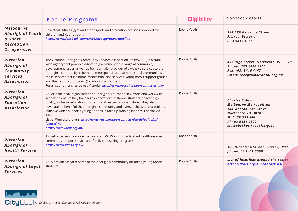|                                                                                             | Koorie Programs                                                                                                                                                                                                                                                                                                                                                                                                                                                                                                                                                    | <b>Eligibility</b> | <b>Contact details</b>                                                                                                                                                   |
|---------------------------------------------------------------------------------------------|--------------------------------------------------------------------------------------------------------------------------------------------------------------------------------------------------------------------------------------------------------------------------------------------------------------------------------------------------------------------------------------------------------------------------------------------------------------------------------------------------------------------------------------------------------------------|--------------------|--------------------------------------------------------------------------------------------------------------------------------------------------------------------------|
| <b>Melbourne</b><br><b>Aboriginal Youth</b><br>& Sport<br><b>Recreation</b><br>Co-operative | Basketball, fitness, gym and other sports and recreation activities provided for<br>children and Koorie youth.<br>https://www.facebook.com/MAYSARcooperative/timeline                                                                                                                                                                                                                                                                                                                                                                                              | Koorie Youth       | 184-186 Gertrude Street<br>Fitzroy, Victoria<br>$(03)$ 9416 4255                                                                                                         |
| Victorian<br>Aboriginal<br>Community<br><b>Services</b><br><b>Association</b>               | The Victorian Aboriginal Community Services Association Ltd (VACSAL) is a state-<br>wide agency that provides advice to government on a range of community<br>development issues as well as being a major provider of extensive services to the<br>Aboriginal community in both the metropolitan and some regional communities<br>these services include homelessness/housing services, young men's support groups<br>and the Best Start program (for Aboriginal children).<br>For a list of other sites across Victoria: http://www.vacsal.org.au/contact-us.aspx | Koorie Youth       | 496 High Street, Northcote, VIC 3070<br>Phone: (03) 9416 4266<br>Fax: (03) 9416 4147<br>Email: reception@vacsal.org.au                                                   |
| Victorian<br>Aboriginal<br><b>Education</b><br><b>Association</b>                           | VAEAI is the peak organisation for Aboriginal Education in Victoria and work with<br>schools to ensure they have high expectations of Koorie students, deliver high<br>quality, inclusive education programs and respect Koorie culture. They also<br>advocate on behalf of the Aboriginal community and oversee the Wurreka brokers<br>initiative which supports young Koories to take up training in the VET sector via<br>TAFE.<br>List of Wurreka brokers: http://www.vaeai.org.au/contacts/dsp-default.cfm?<br>loadref=40<br>http://www.vaeai.org.au/         | Koorie Youth       | <b>Charles Solomon</b><br><b>Melbourne Metropolitan</b><br>144 Westbourne Grove<br>Northcote VIC 3070<br>M: 0439 353 846<br>Ph: 03 9481 0800<br>metrobroker@vaeai.org.au |
| Victorian<br>Aboriginal<br><b>Health Service</b>                                            | As well as access to Koorie medical staff, VAHS also provide allied health services,<br>community support service and family counselling programs.<br>https://www.vahs.org.au/                                                                                                                                                                                                                                                                                                                                                                                     | Koorie Youth       | 186 Nicholson Street, Fitzroy, 3065<br>phone: 03 9419 3000                                                                                                               |
| Victorian<br><b>Aboriginal Legal</b><br>Services<br>بشباب ألقوما                            | VALS provides legal services to the Aboriginal community including young Koorie<br>students.<br>CityLLEN Capital City LLEN October 2018 Services Update                                                                                                                                                                                                                                                                                                                                                                                                            | Koorie Youth       | List of locations around the state:<br>https://vals.org.au/contact-us/                                                                                                   |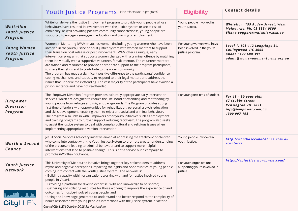|                                                                          | Youth Justice Programs (also refer to Koorie programs)                                                                                                                                                                                                                                                                                                                                                                                                                                                                                                                                                                                                                                                                                                                                                                                                                                                                    | <b>Eligibility</b>                                                         | <b>Contact details</b>                                                                                                 |
|--------------------------------------------------------------------------|---------------------------------------------------------------------------------------------------------------------------------------------------------------------------------------------------------------------------------------------------------------------------------------------------------------------------------------------------------------------------------------------------------------------------------------------------------------------------------------------------------------------------------------------------------------------------------------------------------------------------------------------------------------------------------------------------------------------------------------------------------------------------------------------------------------------------------------------------------------------------------------------------------------------------|----------------------------------------------------------------------------|------------------------------------------------------------------------------------------------------------------------|
| Whitelion<br><b>Youth Justice</b><br>Program                             | Whitelion delivers the Justice Employment program to provide young people whose<br>behaviours have resulted in involvement with the Justice system or are at risk of<br>criminality, as well providing positive community connectedness, young people are<br>supported to engage, re-engage in education and training or employment.                                                                                                                                                                                                                                                                                                                                                                                                                                                                                                                                                                                      | Young people involved in<br>youth justice.                                 | Whitelion, 155 Roden Street, West<br>Melbourne. Ph. 03 8354 0800<br>Eliana.cuppari@whitelion.asn.au                    |
| <b>Young Women</b><br><b>Youth Justice</b><br>Program                    | Women in Mentoring (WAM) matches women (including young women) who have been<br>involved in the youth justice or adult justice system with women mentors to support<br>their transition post release or post involvement. WAM offers a unique, early<br>intervention program that supports women charged with a criminal offence by matching<br>them individually with a supportive volunteer, female mentor. The volunteer mentors<br>are trained and resourced to provide appropriate support to the program participants,<br>to share their skills and to contribute to the wider community.<br>The program has made a significant positive difference to the participants' confidence,<br>coping mechanisms and capacity to respond to their legal matters and address the<br>issues that underlie their offending. The vast majority of the participants have avoided a<br>prison sentence and have not re-offended. | For young women who have<br>been involved in the youth<br>justice program. | Level 1, 108-112 Langridge St,<br>Collingwood VIC 3066<br>phone 0422 608 391<br>admin@womenandmentoring.org.au         |
| iEmpower<br><b>Diversion</b><br>Program                                  | The iEmpower Diversion Program provides culturally appropriate early intervention<br>services, which are designed to reduce the likelihood of offending and reoffending by<br>young people from refugee and migrant backgrounds. The Program provides young<br>first-time offenders with opportunities for rehabilitation, personal growth, education<br>and skills development; enabling them to reject antisocial and criminal behaviour.<br>The program also links in with iEmpowers other youth initiatives such as employment<br>and training programs to further support reducing recidivism. The program also seeks<br>to assist the justice system to deal with complex cultural and religious issues when<br>implementing appropriate diversion intervention.                                                                                                                                                    | For young first time offenders.                                            | For 18 - 30 year olds<br><b>67 Stubbs Street</b><br><b>Kensington VIC 3031</b><br>info@iempower.com.au<br>1300 997 198 |
| Worth a Second<br>Chance                                                 | Jesuit Social Services Advocacy initiative aimed at addressing the treatment of children<br>who come into contact with the Youth Justice System to promote greater understanding<br>of the precursors leading to criminal behaviour and to support more helpful<br>interventions that lead to positive change. This is not a service but a campaign to<br>promote #Wortha2ndChance.                                                                                                                                                                                                                                                                                                                                                                                                                                                                                                                                       | Young people involved in<br>youth justice.                                 | http://worthasecondchance.com.au<br>/contact/                                                                          |
| <b>Youth Justice</b><br><b>Network</b><br><b>LAND J.J.A.</b><br>CityLLEN | This University of Melbourne initiative brings together key stakeholders to address<br>myths and negative perceptions impacting the rights and opportunities of young people<br>coming into contact with the Youth Justice system. The network is:<br>. Building capacity within organisations working with and for justice-involved young<br>people in Victoria;<br>. Providing a platform for diverse expertise, skills and knowledge to be shared;<br>• Gathering and collating resources for those working to improve the experience of and<br>outcomes for justice-involved young people; and<br>. Using the knowledge generated to understand and better respond to the complexity of<br>issues associated with young people's interactions with the justice system in Victoria.                                                                                                                                    | For youth organisations<br>supporting youth involved in<br>justice         | https://ypjustice.wordpress.com/                                                                                       |
|                                                                          | Capital City LLEN October 2018 Services Update                                                                                                                                                                                                                                                                                                                                                                                                                                                                                                                                                                                                                                                                                                                                                                                                                                                                            |                                                                            |                                                                                                                        |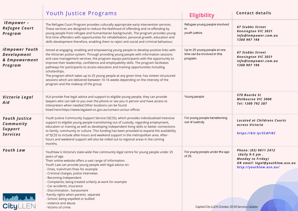|                                                                  | Youth Justice Programs                                                                                                                                                                                                                                                                                                                                                                                                                                                                                                                                                                                                                                                                             | <b>Eligibility</b>                                                       | <b>Contact details</b>                                                                                                              |
|------------------------------------------------------------------|----------------------------------------------------------------------------------------------------------------------------------------------------------------------------------------------------------------------------------------------------------------------------------------------------------------------------------------------------------------------------------------------------------------------------------------------------------------------------------------------------------------------------------------------------------------------------------------------------------------------------------------------------------------------------------------------------|--------------------------------------------------------------------------|-------------------------------------------------------------------------------------------------------------------------------------|
| IEmpower -<br><b>Refugee Court</b><br>Program                    | The Refugee Court Program provides culturally appropriate early intervention services.<br>These services are designed to reduce the likelihood of offending and re-offending by<br>young people from refugee and humanitarian backgrounds. The program provides young<br>first-time offenders with opportunities for rehabilitation, personal growth, education and<br>skills development therefore, enabling them to reject anti-social and criminal behaviour.                                                                                                                                                                                                                                   | Refugee young people involved<br>in<br>youth justice.                    | <b>67 Stubbs Street</b><br><b>Kensington VIC 3031</b><br>info@iempower.com.au<br>1300 997 198                                       |
| iEmpower Youth<br><b>Development</b><br>& Empowerment<br>Program | Aimed at engaging, enabling and empowering young people to develop positive links with<br>the Victorian justice system. Through providing young people with information sessions<br>and case management services, the program equips participants with the opportunity to<br>improve their leadership, confidence and employability skills. The program facilitates<br>pathways for participants to access education and training opportunities including<br>scholarships.<br>The program which takes up to 25 young people at any given time, has sixteen structured<br>sessions which are delivered between 10-16 weeks depending on the intensity of the<br>program and the makeup of the group | Up to 25 young people at one<br>time can be involved in this<br>program. | <b>67 Stubbs Street</b><br><b>Kensington VIC 3031</b><br>info@iempower.com.au<br>1300 997 198                                       |
| Victoria Legal<br>Aid                                            | VLA provide free legal advice and support to eligible young people, they can provide<br>lawyers who can talk to you over the phone or see you in person and have access to<br>interpreters when needed. Other locations can be found<br>listed here:https://www.legalaid.vic.gov.au/contact-us/our-offices                                                                                                                                                                                                                                                                                                                                                                                         | Young people                                                             | 570 Bourke St<br><b>Melbourne VIC 3000</b><br>Tel: 1300 792 387                                                                     |
| <b>Youth Justice</b><br>Community<br>Support<br><b>Services</b>  | Youth Justice Community Support Service (YJCSS), which provides individualised intensive<br>support to eligible young people transitioning out of custody, regarding employment,<br>education or training as well as developing independent living skills or better connections<br>to family, community or culture. This funding has been provided to expand the availability<br>of YJCSS to include after-hours and weekend support in the metropolitan area. After-<br>hours and weekend support will also be rolled out to regional areas in the coming<br>months.                                                                                                                              | For young people transitioning<br>out of custody.                        | <b>Located at Childrens Courts</b><br>across Victoria<br>https://bit.ly/2CAFi6C                                                     |
| Youth Law                                                        | Youthlaw is Victoria's state-wide free community legal centre for young people under 25<br>years of age.<br>Their online website offers a vast range of information.<br>Youth Law can provide young people with legal advice on:<br>- Fines, train/tram fines for example<br>- Criminal charges, police interviews<br>- Becoming Independent<br>- Complaints, being treated unfairly at work for example<br>- Car accidents, insurance<br>- Discrimination, harassment<br>-Family rights when parents separate                                                                                                                                                                                     | For young people under the age<br>of 25.                                 | Phone: (03) 9611 2412<br>$(daily 9-5 pm,$<br><b>Monday to Friday)</b><br>OR email: legal@youthlaw.asn.au<br>http://youthlaw.asn.au/ |
| <b>Ladit Luck.</b><br>CityLLEN                                   | - School, being expelled or bullied                                                                                                                                                                                                                                                                                                                                                                                                                                                                                                                                                                                                                                                                |                                                                          |                                                                                                                                     |
|                                                                  | - violence and abuse<br>- Victims of crime                                                                                                                                                                                                                                                                                                                                                                                                                                                                                                                                                                                                                                                         | Capital City LLEN October 2018 Services Update                           |                                                                                                                                     |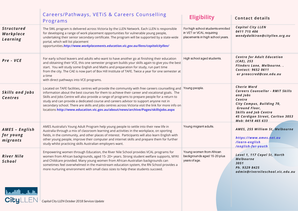|                                              | Careers/Pathways, VETIS & Careers Counselling<br>Programs                                                                                                                                                                                                                                                                                                                                                                                                                                                                                                                                               | <b>Eligibility</b>                                                                                | <b>Contact details</b>                                                                                                                                                                                                     |
|----------------------------------------------|---------------------------------------------------------------------------------------------------------------------------------------------------------------------------------------------------------------------------------------------------------------------------------------------------------------------------------------------------------------------------------------------------------------------------------------------------------------------------------------------------------------------------------------------------------------------------------------------------------|---------------------------------------------------------------------------------------------------|----------------------------------------------------------------------------------------------------------------------------------------------------------------------------------------------------------------------------|
| <b>Structured</b><br>Workplace<br>Learning   | The SWL program is delivered across Victoria by the LLEN Network. Each LLEN is responsible<br>for developing a range of work placement opportunities for vulnerable young people,<br>undertaking their senior secondary certificate. The program will be supported by a state-wide<br>portal, which will list placement<br>opportunities.http://www.workplacements.education.vic.gov.au/llens/capitalcityllen/                                                                                                                                                                                          | For high school students enrolled<br>in VET or VCAL requiring<br>placements in high school years. | <b>Capital City LLEN</b><br>0411 715 406<br>wendydalkiran@cityllen.org.au                                                                                                                                                  |
| Pre - VCE                                    | For early school leavers and adults who want to have another go at finishing their education<br>and obtaining their VCE, this one semester program builds your skills again to give you the best<br>start. You will study some English and Maths and preparation for study, run part time<br>from the city. The CAE is now part of Box Hill Institute of TAFE. Twice a year for one semester at<br>a time<br>with direct pathways into VCE programs.                                                                                                                                                    | High school aged students.                                                                        | <b>Centre for Adult Education</b><br>$(CAE)$ , 253<br>Flinders Lane, Melbourne<br><b>Contact: 9652 0611</b><br>or preaccred@cae.edu.au                                                                                     |
| Skills and Jobs<br><b>Centres</b>            | Located on TAFE facilities, centres will provide the community with free careers counselling and Young people.<br>information about the best courses for them to achieve their career and vocational goals. The<br>Skills and Jobs Centre will also provide a range of programs to prepare people for a return to<br>study and can provide a dedicated course and careers advisor to support anyone not in<br>secondary school. There are skills and jobs centres across Victoria visit the link for more info on<br>locations http://www.education.vic.gov.au/about/news/archive/Pages/skillsjobs.aspx |                                                                                                   | <b>Cherie Ward</b><br><b>Careers Counsellor - RMIT Skills</b><br>and Jobs<br>Centre<br>City Campus, Building 70,<br>Ground Floor,<br><b>Skills and Job Centre</b><br>45 Cardigan Street, Carlton 3053<br>Mob: 0418 465 633 |
| AMES - English<br>for young<br>migrants      | AMES Australia's Young Adult Program help young people to settle into their new life in<br>Australia through a mix of classroom learning and activities in the workplace, on sporting<br>fields, in the community, and other places of interest. Participants will also learn English with<br>other young people, improve their computer and internet skills and prepare them for further<br>study whilst practicing skills Australian employers want.                                                                                                                                                  | Young migrant adults.                                                                             | AMES, 255 William St, Melbourne<br>https://www.ames.net.au<br>/learn-english<br>/english-for-youth                                                                                                                         |
| <b>River Nile</b><br>School<br>أيقظت ألافتقا | Empowering women through Education, the River Nile School provides VCAL programs for<br>women from African backgrounds, aged 15-20+ years. Strong student welfare supports, MYKI<br>and Childcare provided. Many young women from African-Australian backgrounds can<br>sometimes feel overwhelmed in the mainstream education system, the RN School provides a<br>more nurturing environment with small class sizes to help these students succeed.<br>City LLEN Capital City LLEN October 2018 Services Update                                                                                        | Young women from African<br>backgrounds aged 15-20 plus<br>years of age.                          | Level 1, 117 Capel St, North<br><b>Melbourne</b><br>3051<br>Ph. 9329 8425<br>admin@rivernileschool.vic.edu.au                                                                                                              |
|                                              |                                                                                                                                                                                                                                                                                                                                                                                                                                                                                                                                                                                                         |                                                                                                   |                                                                                                                                                                                                                            |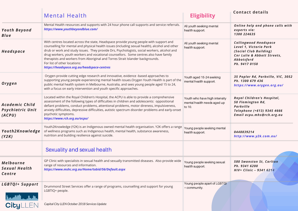|                                                     | <b>Mental Health</b>                                                                                                                                                                                                                                                                                                                                                                                                                                                                                                                             | <b>Eligibility</b>                                                     | <b>Contact details</b>                                                                                                                         |
|-----------------------------------------------------|--------------------------------------------------------------------------------------------------------------------------------------------------------------------------------------------------------------------------------------------------------------------------------------------------------------------------------------------------------------------------------------------------------------------------------------------------------------------------------------------------------------------------------------------------|------------------------------------------------------------------------|------------------------------------------------------------------------------------------------------------------------------------------------|
| <b>Youth Beyond</b><br><b>Blue</b>                  | Mental Health resources and supports with 24 hour phone call supports and service referrals.<br>https://www.youthbeyondblue.com/                                                                                                                                                                                                                                                                                                                                                                                                                 | All youth seeking mental<br>health support.                            | Online help and phone calls with<br>experts via:<br>1300 224635                                                                                |
| <b>Headspace</b>                                    | With centres located across the state, Headspace provide young people with support and<br>counselling for mental and physical health issues (including sexual health), alcohol and other<br>drub or work and study issues. They provide Drs, Psychologists, social workers, alcohol and<br>drug workers, youth workers and vocational counsellors. Some centres also have family<br>therapists and workers from Aboriginal and Torres Strait Islander backgrounds.<br>For list of other locations:<br>https://headspace.org.au/headspace-centres | All youth seeking mental<br>health support.                            | <b>Collingwood Headspace</b><br>Level 1, Victoria Park<br>(Social Club Building)<br>Cnr Lulie & Abbott Streets,<br>Abbotsford<br>Ph. 9417 0150 |
| <b>Orygen</b>                                       | Orygen provide cutting edge research and innovative, evidence -based approaches to<br>supporting young people experiencing mental health issues. Orygen Youth Health is part of the<br>public mental health system in Melbourne, Australia, and sees young people aged 15 to 24,<br>with a focus on early intervention and youth specific approaches.                                                                                                                                                                                            | Youth aged 15-24 seeking<br>mental health support.                     | 35 Poplar Rd, Parkville, VIC, 3052<br>Ph. 1300 679 436<br>https://www.orygen.org.au/                                                           |
| <b>Academic Child</b><br>Psychiatric Unit<br>(ACPU) | Located within the Royal Children's Hospital, the ACPU is able to provide a comprehensive<br>assessment of the following types of difficulties in children and adolescents: oppositional<br>defiant problems, conduct problems, attentional problems, motor direness, impulsiveness,<br>anxiety difficulties, depressive difficulties, autistic spectrum disorder problems and early-onset<br>psychotic symptoms.<br>https://www.rch.org.au/acpu/                                                                                                | Youth who have high intensity<br>mental health needs aged up<br>to 10. | Royal Children's Hospital,<br>50 Flemington Rd,<br>Parkville<br>Telephone (+613) 9345 4666<br>Email acpu.mhs@rch.org.au                        |
| Youth2Knowledge<br>(Y2K)                            | Youth2Knowledge (Y2K) is an Indigenous owned mental health organisation. Y2K offers a range<br>of wellness programs such as Indigenous health, mental health, substance awareness,<br>nutrition and building resilience against suicide.                                                                                                                                                                                                                                                                                                         | Young people seeking mental<br>health support.                         | 0448839214<br>http://www.y2k.com.au/                                                                                                           |
|                                                     | Sexuality and sexual health                                                                                                                                                                                                                                                                                                                                                                                                                                                                                                                      |                                                                        |                                                                                                                                                |
| <b>Melbourne</b><br><b>Sexual Health</b><br>Centre  | GP Clinic with specialists in sexual health and sexually transmitted diseases. Also provide wide<br>range of resources and information.<br>https://www.mshc.org.au/Home/tabid/56/Default.aspx                                                                                                                                                                                                                                                                                                                                                    | Young people seeking sexual<br>health support.                         | 580 Swanston St, Carlton<br>Ph. 9341 6200<br>HIV+ Clinic - 9341 6214                                                                           |
| LGBTQI+ Support<br>الفاجان وأقامها                  | Drummond Street Services offer a range of programs, counselling and support for young<br>LGBTIQ+ people.                                                                                                                                                                                                                                                                                                                                                                                                                                         | Young people apart of LGBTQI<br>+ community.                           |                                                                                                                                                |
| <b>CityLLEN</b>                                     | Capital City LLEN October 2018 Services Update                                                                                                                                                                                                                                                                                                                                                                                                                                                                                                   |                                                                        |                                                                                                                                                |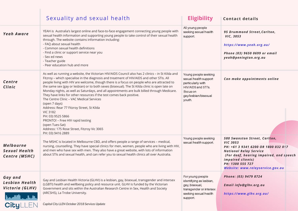|                                                     | Sexuality and sexual health                                                                                                                                                                                                                                                                                                                                                                                                                                                                                                                                                                                                                                                                                                                                                                                                                       | <b>Eligibility</b>                                                                                                                       | <b>Contact details</b>                                                                                                                                                                                                                                  |
|-----------------------------------------------------|---------------------------------------------------------------------------------------------------------------------------------------------------------------------------------------------------------------------------------------------------------------------------------------------------------------------------------------------------------------------------------------------------------------------------------------------------------------------------------------------------------------------------------------------------------------------------------------------------------------------------------------------------------------------------------------------------------------------------------------------------------------------------------------------------------------------------------------------------|------------------------------------------------------------------------------------------------------------------------------------------|---------------------------------------------------------------------------------------------------------------------------------------------------------------------------------------------------------------------------------------------------------|
| <b>Yeah Aware</b>                                   | YEAH is Australia's largest online and face-to-face engagement connecting young people with<br>sexual health information and supporting young people to take control of their sexual health<br>through. The website contains information including:<br>- FAQ about sexual health<br>- Common sexual health definitions<br>- Find a clinic or support service near you<br>- Sex ed news<br>- Teacher guide<br>- Peer education hub and more                                                                                                                                                                                                                                                                                                                                                                                                        | All young people<br>seeking sexual health<br>support.                                                                                    | 95 Drummond Street, Carlton,<br><b>VIC, 3053</b><br>https://www.yeah.org.au/<br>Phone (03) 9650 0699 or email<br>yeah@penington.org.au                                                                                                                  |
| Centre<br>Clinic                                    | As well as running a website, the Victorian HIV/AIDS Council also has 2 clinics - in St Kilda and<br>Fitzroy - which specialise in the diagnosis and treatment of HIV/AIDS and other STIs. All<br>people living with HIV are welcome, though there is a focus on people who are attracted to<br>the same sex (gay or lesbian) or to both sexes (bisexual). The St Kilda clinic is open late on<br>Monday nights, as well as Saturdays, and all appointments are bulk billed through Medicare.<br>They have links for other resources if the test comes back positive.<br>The Centre Clinic - VAC Medical Services<br>(open 7 days)<br>Address: Rear 77 Fitzroy Street, St Kilda<br><b>VIC 3182</b><br>PH: 03) 9525 5866<br>PRONTO! - Free HIV rapid testing<br>(open Tues-Sat)<br>Address: 175 Rose Street, Fitzroy Vic 3065<br>PH: 03) 9416 2889 | Young people seeking<br>sexual health support<br>particularly with<br>HIV/AIDS and STI's.<br>(focus on<br>gay/lesbian/bisexual<br>youth. | Can make appointments online                                                                                                                                                                                                                            |
| <b>Melbourne</b><br>Sexual Health<br>Centre (MSHC)  | The MSHC is located in Melbourne CBD, and offers people a range of services - medical,<br>nursing, counselling. They have special clinics for men, women, people who are living with HIV,<br>and men who have sex with men. They also have a great website, with lots of information<br>about STIs and sexual health, and can refer you to sexual health clinics all over Australia.                                                                                                                                                                                                                                                                                                                                                                                                                                                              | Young people seeking<br>sexual health support.                                                                                           | 580 Swanston Street, Carlton,<br><b>VIC 3053</b><br>PH: +61 3 9341 6200 OR 1800 032 017<br><b>National Relay Service</b><br>(For deaf, hearing impaired, and speech<br><i>impaired clients)</i><br>PH: 1300 555 727<br>Website: www.relayservice.gov.au |
| Gay and<br><b>Lesbian Health</b><br>Victoria (GLHV) | Gay and Lesbian Health Victoria (GLHV) is a lesbian, gay, bisexual, transgender and intersex<br>(LGBTI) health and wellbeing policy and resource unit. GLHV is funded by the Victorian<br>Government and sits within the Australian Research Centre in Sex, Health and Society<br>(ARCSHS), La Trobe University.                                                                                                                                                                                                                                                                                                                                                                                                                                                                                                                                  | For young people<br>identifying as lesbian,<br>gay, bisexual,<br>transgender or intersex<br>seeking sexual health<br>support.            | Phone: (03) 9479 8724<br>Email info@glhv.org.au<br>https://www.glhv.org.au/                                                                                                                                                                             |
|                                                     | Capital City LLEN October 2018 Services Update                                                                                                                                                                                                                                                                                                                                                                                                                                                                                                                                                                                                                                                                                                                                                                                                    |                                                                                                                                          |                                                                                                                                                                                                                                                         |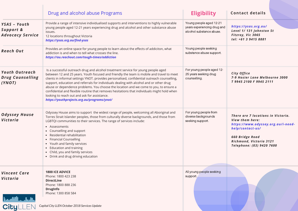|                                                            | Drug and alcohol abuse Programs                                                                                                                                                                                                                                                                                                                                                                                                                                                                                                                                                                                                                                  | <b>Eligibility</b>                                                                 | <b>Contact details</b>                                                                                                                                                                     |
|------------------------------------------------------------|------------------------------------------------------------------------------------------------------------------------------------------------------------------------------------------------------------------------------------------------------------------------------------------------------------------------------------------------------------------------------------------------------------------------------------------------------------------------------------------------------------------------------------------------------------------------------------------------------------------------------------------------------------------|------------------------------------------------------------------------------------|--------------------------------------------------------------------------------------------------------------------------------------------------------------------------------------------|
| YSAS - Youth<br>Support &<br><b>Advocacy Service</b>       | Provide a range of intensive individualised supports and interventions to highly vulnerable<br>young people aged 12-21 years experiencing drug and alcohol and other substance abuse<br>issues.<br>12 locations throughout Victoria<br>https://ysas.org.au/find-ysas                                                                                                                                                                                                                                                                                                                                                                                             | Young people aged 12-21<br>years experiencing drug and<br>alcohol substance abuse. | https://ysas.org.au/<br>Level 1/131 Johnston St<br>Fitzroy, Vic 3065<br>tel: +61 3 9415 8881                                                                                               |
| <b>Reach Out</b>                                           | Provides an online space for young people to learn about the effects of addiciton, what<br>addiction is and when to tell what crosses the line.<br>https://au.reachout.com/tough-times/addiction                                                                                                                                                                                                                                                                                                                                                                                                                                                                 | Young people seeking<br>substance abuse support.                                   |                                                                                                                                                                                            |
| <b>Youth Outreach</b><br><b>Drug Counselling</b><br>(YNOT) | Is a successful outreach drug and alcohol treatment service for young people aged<br>between 12 and 25 years. Youth focused and friendly the team is mobile and travel to meet<br>clients in informal settings YNOT. provides personalised, confidential outreach counselling,<br>support, education and referrals for individuals dealing with alcohol and or other drug<br>abuse or dependence problems. You choose the location and we come to you, to ensure a<br>confidential and flexible routine that removes hesitations that individuals might hold when<br>looking to reach out and ask for assistance.<br>https://youthprojects.org.au/programs/ynot/ | For young people aged 12-<br>25 years seeking drug<br>counselling.                 | City Office<br>7-9 Hosier Lane Melbourne 3000<br>T 9945 2100 F 9945 2111                                                                                                                   |
| <b>Odyssey House</b><br>Victoria                           | Odyssey House aims to support the widest range of people, welcoming all Aboriginal and<br>Torres Strait Islander peoples, those from culturally diverse backgrounds, and those from<br>LGBTQI communities to their services. The range of services include:<br>• Assessments<br>• Counselling and support<br>• Residential rehabilitation<br>• Financial Counselling<br>• Youth and family services<br>• Education and training<br>• Child, you and family services<br>• Drink and drug driving education                                                                                                                                                        | For young people from<br>diverse backgrounds<br>seeking support.                   | There are 7 locations in Victoria.<br>View them here:<br>https://www.odyssey.org.au/i-need-<br>help/contact-us/<br>660 Bridge Road<br>Richmond, Victoria 3121<br>Telephone: (03) 9420 7600 |
| <b>Vincent Care</b><br>Victoria<br>فاجتل والتقييما         | <b>1800 ICE ADVICE</b><br>Phone: 1800 423 238<br><b>DirectLine</b><br>Phone: 1800 888 236<br><b>DrugInfo</b><br>Phone: 1300 858 584                                                                                                                                                                                                                                                                                                                                                                                                                                                                                                                              | All young people seeking<br>support.                                               |                                                                                                                                                                                            |
| <b>Cityl</b>                                               | Capital City LLEN October 2018 Services Update                                                                                                                                                                                                                                                                                                                                                                                                                                                                                                                                                                                                                   |                                                                                    |                                                                                                                                                                                            |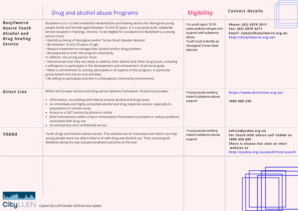|                                                                                           | Drug and alcohol abuse Programs                                                                                                                                                                                                                                                                                                                                                                                                                                                                                                                                                                                                                                                                                                                                                                                                                                                                                                                                                                      | <b>Eligibility</b>                                                                                                                                        | <b>Contact details</b>                                                                                                                                                |
|-------------------------------------------------------------------------------------------|------------------------------------------------------------------------------------------------------------------------------------------------------------------------------------------------------------------------------------------------------------------------------------------------------------------------------------------------------------------------------------------------------------------------------------------------------------------------------------------------------------------------------------------------------------------------------------------------------------------------------------------------------------------------------------------------------------------------------------------------------------------------------------------------------------------------------------------------------------------------------------------------------------------------------------------------------------------------------------------------------|-----------------------------------------------------------------------------------------------------------------------------------------------------------|-----------------------------------------------------------------------------------------------------------------------------------------------------------------------|
| <b>Bunjilwarra</b><br><b>Koorie Youth</b><br>Alcohol and<br><b>Drughealing</b><br>Service | Bunjilwarra is a 12 bed residential rehabilitation and healing service for Aboriginal young<br>people (male and female) aged between 16 and 25 years. It is a purpose-built, statewide<br>service situated in Hastings, Victoria. To be eligible for acceptance to Bunjilwarra, a young<br>person must:<br>· Identify as being of Aboriginal and/or Torres Strait Islander descent.<br>• Be between 16 and 25 years of age.<br>. Require treatment to manage their alcohol and/or drug problem.<br>. Be prepared to enter the program voluntarily.<br>In addition, the young person must:<br>• Demonstrate that they are ready to address their alcohol and other drug issues, including<br>a willingness to participate in the development and achievement of personal goals.<br>• Make a commitment to actively participate in all aspects of the program, in particular<br>group based and one-on-one activities.<br>. Be willing to participate and live in a therapeutic community environment. | For youth aged 16-25<br>years seeking refugee and<br>support with substance<br>abuse.<br>Youth must indentify as<br>Aboriginal/Torres Strait<br>Islander. | Phone: (03) 5979 2011<br>Fax: (03) 5979 3211<br>Email: info[at]bunjilwarra.org.au<br>http://bunjilwarra.org.au/                                                       |
| <b>Direct Line</b>                                                                        | Within the broader alcohol and drug service delivery framework, DirectLine provides:<br>• Information, counselling and referral around alcohol and drug issues<br>• An immediate and highly accessible alcohol and drug response service, especially to<br>populations in remote areas<br>• Access to a 24/7 service by phone or online<br>• Brief interventions within a harm minimisation framework to prevent or reduce problems<br>associated with drug use<br>• An anonymous and confidential service                                                                                                                                                                                                                                                                                                                                                                                                                                                                                           | Young people seeking<br>instant substance abuse<br>support.                                                                                               | https://www.directline.org.au/<br>1800 888 236                                                                                                                        |
| YODDA                                                                                     | Youth drugs and Alcohol advice service. This website has an interactive tool which can help<br>young people work out where they're at with drug and alcohol use. They receive great<br>feedback along the way and personalised outcomes at the end.                                                                                                                                                                                                                                                                                                                                                                                                                                                                                                                                                                                                                                                                                                                                                  | Young people seeking<br>instant substance abuse<br>support.                                                                                               | advice@yodaa.org.au<br>For Youth AOD advice call YoDAA on<br>1800 458 685<br>There is alsona live chat on their<br>website at<br>http://yodaa.org.au/youth?site=youth |



**City** LLEN *Capital City LLEN October 2018 Services Update*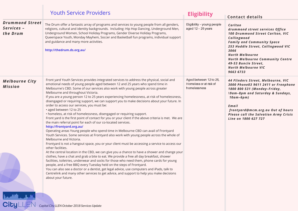|                                                  | <b>Youth Service Providers</b>                                                                                                                                                                                                                                                                                                                                                                                                                                                                                                                                                                                                                                                                                                                                                                                                                                                                                                                                                                                                                                                                                                                                                                                                                                                                                                                                                                                                                                                                                                                                                                                                                                                                                                                                                        | <b>Eligibility</b>                                               | <b>Contact details</b>                                                                                                                                                                                                                                                                                                   |
|--------------------------------------------------|---------------------------------------------------------------------------------------------------------------------------------------------------------------------------------------------------------------------------------------------------------------------------------------------------------------------------------------------------------------------------------------------------------------------------------------------------------------------------------------------------------------------------------------------------------------------------------------------------------------------------------------------------------------------------------------------------------------------------------------------------------------------------------------------------------------------------------------------------------------------------------------------------------------------------------------------------------------------------------------------------------------------------------------------------------------------------------------------------------------------------------------------------------------------------------------------------------------------------------------------------------------------------------------------------------------------------------------------------------------------------------------------------------------------------------------------------------------------------------------------------------------------------------------------------------------------------------------------------------------------------------------------------------------------------------------------------------------------------------------------------------------------------------------|------------------------------------------------------------------|--------------------------------------------------------------------------------------------------------------------------------------------------------------------------------------------------------------------------------------------------------------------------------------------------------------------------|
| <b>Drummond Street</b><br>Services –<br>the Drum | The Drum offer a fantastic array of programs and services to young people from all genders,<br>religions, cultural and identity backgrounds. Including: Hip Hop Dancing, Underground Men,<br>Underground Women, School Holiday Programs, Gender Diverse Holiday Programs,<br>Queerspace Youth, Monday Mayhem, Soccer and Basketball fun programs, individual support<br>and guidance and many more activities.<br>http://thedrum.ds.org.au/                                                                                                                                                                                                                                                                                                                                                                                                                                                                                                                                                                                                                                                                                                                                                                                                                                                                                                                                                                                                                                                                                                                                                                                                                                                                                                                                           | Eligibility - young people<br>aged 12 - 25 years                 | Carlton<br>drummond street services Office<br>100 Drummond Street Carlton, VIC<br>Collingwood<br><b>Family and Community Space</b><br>253 Hoddle Street, Collingwood VIC<br>3066<br><b>North Melbourne</b><br><b>North Melbourne Community Centre</b><br>49-53 Buncle Street,<br><b>North Melbourne VIC</b><br>9663 6733 |
| <b>Melbourne City</b><br>Mission                 | Front yard Youth Services provides integrated services to address the physical, social and<br>emotional needs of young people aged between 12 and 25 years who spend time in<br>Melbourne's CBD. Some of our services also work with young people across greater<br>Melbourne and throughout Victoria.<br>If you are a young person 12 to 25 years experiencing homelessness, at risk of homelessness,<br>disengaged or requiring support, we can support you to make decisions about your future. In<br>order to access our services, you must be:<br>• aged between 12 to 25<br>• homeless, at risk of homelessness, disengaged or requiring support.<br>Front yard is the first point of contact for you or your client if the above criteria is met. We are<br>the main referral point for each of our co-located services.<br>http://frontyard.org.au/<br>Operating areas Young people who spend time in Melbourne CBD can avail of Frontyard<br>Youth Services. Some services at Frontyard also work with young people across the whole of<br>Melbourne and Victoria.<br>Frontyard is not a hangout space, you or your client must be accessing a service to access our<br>other facilities.<br>At the central location in the CBD, we can give you a chance to have a shower and change your<br>clothes, have a chat and grab a bite to eat. We provide a free all day breakfast, shower<br>facilities, toiletries, underwear and socks for those who need them, phone cards for young<br>people, and a free BBQ every Tuesday held on the steps of Frontyard.<br>You can also see a doctor or a dentist, get legal advice, use computers and iPads, talk to<br>Centrelink and many other services to get advice, and support to help you make decisions<br>about your future. | Aged between 12 to 25,<br>Homeless or at risk of<br>homelessness | 44 Flinders Street, Melbourne, VIC<br>3000 Phone03 9611 2411 or Freephone<br>1800 800 531 (Monday-Friday,<br><b>19am-8pm and Saturday &amp; Sundays,</b><br>$10am-6pm)$<br>Email<br>frontyard@mcm.org.au Out of hours<br><b>Please call the Salvation Army Crisis</b><br>Line on 1800 627 727                            |

*Capital City LLEN October 2018 Services Update*